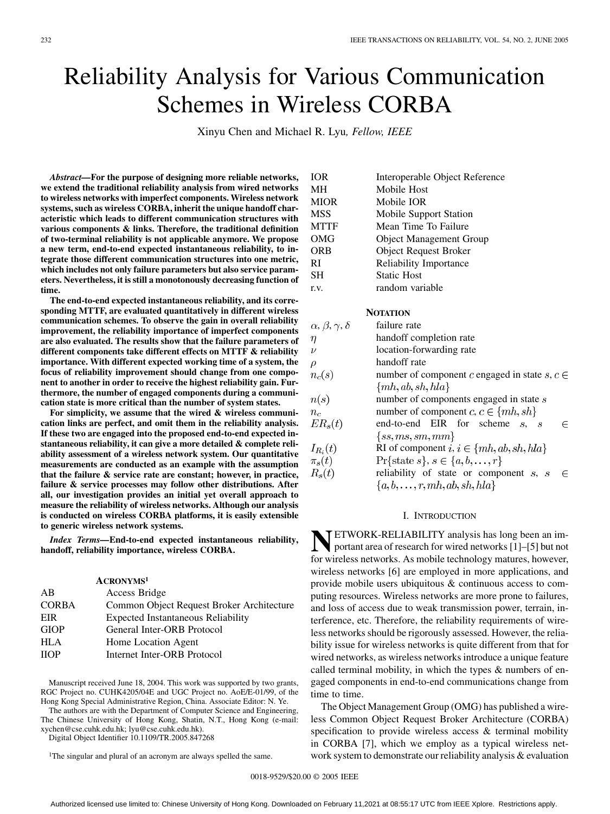# Reliability Analysis for Various Communication Schemes in Wireless CORBA

Xinyu Chen and Michael R. Lyu*, Fellow, IEEE*

*Abstract—***For the purpose of designing more reliable networks, we extend the traditional reliability analysis from wired networks to wireless networks with imperfect components. Wireless network systems, such as wireless CORBA, inherit the unique handoff characteristic which leads to different communication structures with various components & links. Therefore, the traditional definition of two-terminal reliability is not applicable anymore. We propose a new term, end-to-end expected instantaneous reliability, to integrate those different communication structures into one metric, which includes not only failure parameters but also service parameters. Nevertheless, it is still a monotonously decreasing function of time.**

**The end-to-end expected instantaneous reliability, and its corresponding MTTF, are evaluated quantitatively in different wireless communication schemes. To observe the gain in overall reliability improvement, the reliability importance of imperfect components are also evaluated. The results show that the failure parameters of different components take different effects on MTTF & reliability importance. With different expected working time of a system, the focus of reliability improvement should change from one component to another in order to receive the highest reliability gain. Furthermore, the number of engaged components during a communication state is more critical than the number of system states.**

**For simplicity, we assume that the wired & wireless communication links are perfect, and omit them in the reliability analysis. If these two are engaged into the proposed end-to-end expected instantaneous reliability, it can give a more detailed & complete reliability assessment of a wireless network system. Our quantitative measurements are conducted as an example with the assumption that the failure & service rate are constant; however, in practice, failure & service processes may follow other distributions. After all, our investigation provides an initial yet overall approach to measure the reliability of wireless networks. Although our analysis is conducted on wireless CORBA platforms, it is easily extensible to generic wireless network systems.**

*Index Terms—***End-to-end expected instantaneous reliability, handoff, reliability importance, wireless CORBA.**

| <b>ACRONYMS1</b>                          |
|-------------------------------------------|
| Access Bridge                             |
| Common Object Request Broker Architecture |
| <b>Expected Instantaneous Reliability</b> |
| General Inter-ORB Protocol                |
| Home Location Agent                       |
| Internet Inter-ORB Protocol               |
|                                           |

Manuscript received June 18, 2004. This work was supported by two grants, RGC Project no. CUHK4205/04E and UGC Project no. AoE/E-01/99, of the Hong Kong Special Administrative Region, China. Associate Editor: N. Ye.

The authors are with the Department of Computer Science and Engineering, The Chinese University of Hong Kong, Shatin, N.T., Hong Kong (e-mail: xychen@cse.cuhk.edu.hk; lyu@cse.cuhk.edu.hk).

Digital Object Identifier 10.1109/TR.2005.847268

<sup>1</sup>The singular and plural of an acronym are always spelled the same.

| <b>IOR</b>  | Interoperable Object Reference |
|-------------|--------------------------------|
| MН          | Mobile Host                    |
| <b>MIOR</b> | Mobile IOR                     |
| <b>MSS</b>  | Mobile Support Station         |
| <b>MTTF</b> | Mean Time To Failure           |
| OMG         | <b>Object Management Group</b> |
| <b>ORB</b>  | <b>Object Request Broker</b>   |
| RI          | <b>Reliability Importance</b>  |
| SН          | <b>Static Host</b>             |
| r.v.        | random variable                |

## **NOTATION**

| $\alpha, \beta, \gamma, \delta$ | failure rate                                                                |
|---------------------------------|-----------------------------------------------------------------------------|
| $\eta$                          | handoff completion rate                                                     |
| $\nu$                           | location-forwarding rate                                                    |
| ρ                               | handoff rate                                                                |
| $n_c(s)$                        | number of component c engaged in state $s, c \in$                           |
|                                 | $\{mh, ab, sh, hla\}$                                                       |
| n(s)                            | number of components engaged in state s                                     |
| $n_c$                           | number of component $c, c \in \{mh, sh\}$                                   |
| $ER_s(t)$                       | end-to-end EIR for scheme<br>$S_{\bullet}$<br>F<br>$\overline{\mathcal{S}}$ |
|                                 | $\{ss,ms,sm,mm\}$                                                           |
| $I_{R_i}(t)$                    | RI of component $i, i \in \{mh, ab, sh, hla\}$                              |
| $\pi_s(t)$                      | $\Pr{\text{state } s}, s \in \{a, b, \ldots, r\}$                           |
| $R_{s}(t)$                      | reliability of state or component $s$ , $s$                                 |
|                                 | ${a,b,\ldots,r,mh,ab,sh,hla}$                                               |

#### I. INTRODUCTION

**NETWORK-RELIABILITY** analysis has long been an im-<br>portant area of research for wired networks [[1\]](#page-10-0)–[\[5](#page-10-0)] but not for wireless networks. As mobile technology matures, however, wireless networks [\[6](#page-10-0)] are employed in more applications, and provide mobile users ubiquitous & continuous access to computing resources. Wireless networks are more prone to failures, and loss of access due to weak transmission power, terrain, interference, etc. Therefore, the reliability requirements of wireless networks should be rigorously assessed. However, the reliability issue for wireless networks is quite different from that for wired networks, as wireless networks introduce a unique feature called terminal mobility, in which the types & numbers of engaged components in end-to-end communications change from time to time.

The Object Management Group (OMG) has published a wireless Common Object Request Broker Architecture (CORBA) specification to provide wireless access & terminal mobility in CORBA [[7\]](#page-10-0), which we employ as a typical wireless network system to demonstrate our reliability analysis  $\&$  evaluation

0018-9529/\$20.00 © 2005 IEEE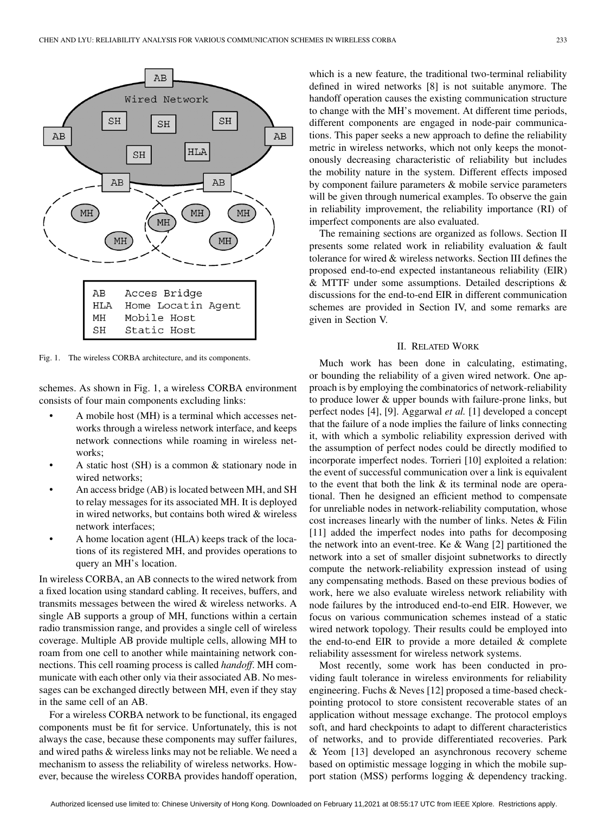

Fig. 1. The wireless CORBA architecture, and its components.

schemes. As shown in Fig. 1, a wireless CORBA environment consists of four main components excluding links:

- A mobile host (MH) is a terminal which accesses networks through a wireless network interface, and keeps network connections while roaming in wireless networks;
- A static host (SH) is a common & stationary node in wired networks;
- An access bridge (AB) is located between MH, and SH to relay messages for its associated MH. It is deployed in wired networks, but contains both wired & wireless network interfaces;
- A home location agent (HLA) keeps track of the locations of its registered MH, and provides operations to query an MH's location.

In wireless CORBA, an AB connects to the wired network from a fixed location using standard cabling. It receives, buffers, and transmits messages between the wired & wireless networks. A single AB supports a group of MH, functions within a certain radio transmission range, and provides a single cell of wireless coverage. Multiple AB provide multiple cells, allowing MH to roam from one cell to another while maintaining network connections. This cell roaming process is called *handoff*. MH communicate with each other only via their associated AB. No messages can be exchanged directly between MH, even if they stay in the same cell of an AB.

For a wireless CORBA network to be functional, its engaged components must be fit for service. Unfortunately, this is not always the case, because these components may suffer failures, and wired paths & wireless links may not be reliable. We need a mechanism to assess the reliability of wireless networks. However, because the wireless CORBA provides handoff operation,

which is a new feature, the traditional two-terminal reliability defined in wired networks [[8](#page-10-0)] is not suitable anymore. The handoff operation causes the existing communication structure to change with the MH's movement. At different time periods, different components are engaged in node-pair communications. This paper seeks a new approach to define the reliability metric in wireless networks, which not only keeps the monotonously decreasing characteristic of reliability but includes the mobility nature in the system. Different effects imposed by component failure parameters & mobile service parameters will be given through numerical examples. To observe the gain in reliability improvement, the reliability importance (RI) of imperfect components are also evaluated.

The remaining sections are organized as follows. Section II presents some related work in reliability evaluation & fault tolerance for wired & wireless networks. Section III defines the proposed end-to-end expected instantaneous reliability (EIR) & MTTF under some assumptions. Detailed descriptions & discussions for the end-to-end EIR in different communication schemes are provided in Section IV, and some remarks are given in Section V.

#### II. RELATED WORK

Much work has been done in calculating, estimating, or bounding the reliability of a given wired network. One approach is by employing the combinatorics of network-reliability to produce lower & upper bounds with failure-prone links, but perfect nodes [[4\]](#page-10-0), [[9\]](#page-10-0). Aggarwal *et al.* [[1\]](#page-10-0) developed a concept that the failure of a node implies the failure of links connecting it, with which a symbolic reliability expression derived with the assumption of perfect nodes could be directly modified to incorporate imperfect nodes. Torrieri [[10\]](#page-10-0) exploited a relation: the event of successful communication over a link is equivalent to the event that both the link  $\&$  its terminal node are operational. Then he designed an efficient method to compensate for unreliable nodes in network-reliability computation, whose cost increases linearly with the number of links. Netes & Filin [\[11](#page-10-0)] added the imperfect nodes into paths for decomposing the network into an event-tree. Ke & Wang [\[2](#page-10-0)] partitioned the network into a set of smaller disjoint subnetworks to directly compute the network-reliability expression instead of using any compensating methods. Based on these previous bodies of work, here we also evaluate wireless network reliability with node failures by the introduced end-to-end EIR. However, we focus on various communication schemes instead of a static wired network topology. Their results could be employed into the end-to-end EIR to provide a more detailed & complete reliability assessment for wireless network systems.

Most recently, some work has been conducted in providing fault tolerance in wireless environments for reliability engineering. Fuchs & Neves [[12\]](#page-10-0) proposed a time-based checkpointing protocol to store consistent recoverable states of an application without message exchange. The protocol employs soft, and hard checkpoints to adapt to different characteristics of networks, and to provide differentiated recoveries. Park & Yeom [\[13](#page-10-0)] developed an asynchronous recovery scheme based on optimistic message logging in which the mobile support station (MSS) performs logging & dependency tracking.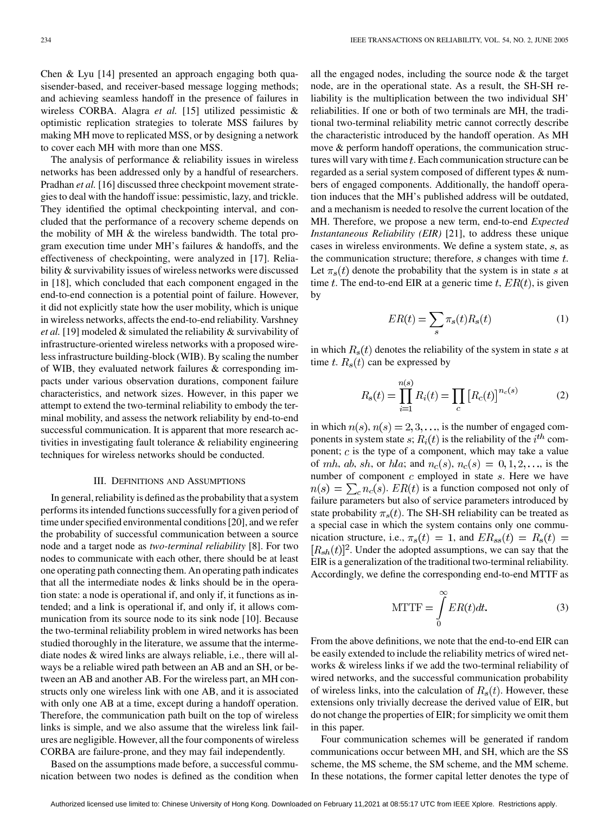Chen & Lyu [[14\]](#page-10-0) presented an approach engaging both quasisender-based, and receiver-based message logging methods; and achieving seamless handoff in the presence of failures in wireless CORBA. Alagra *et al.* [[15\]](#page-10-0) utilized pessimistic & optimistic replication strategies to tolerate MSS failures by making MH move to replicated MSS, or by designing a network to cover each MH with more than one MSS.

The analysis of performance & reliability issues in wireless networks has been addressed only by a handful of researchers. Pradhan *et al.* [[16\]](#page-10-0) discussed three checkpoint movement strategies to deal with the handoff issue: pessimistic, lazy, and trickle. They identified the optimal checkpointing interval, and concluded that the performance of a recovery scheme depends on the mobility of MH & the wireless bandwidth. The total program execution time under MH's failures & handoffs, and the effectiveness of checkpointing, were analyzed in [[17\]](#page-10-0). Reliability & survivability issues of wireless networks were discussed in [[18\]](#page-10-0), which concluded that each component engaged in the end-to-end connection is a potential point of failure. However, it did not explicitly state how the user mobility, which is unique in wireless networks, affects the end-to-end reliability. Varshney *et al.* [\[19](#page-10-0)] modeled & simulated the reliability & survivability of infrastructure-oriented wireless networks with a proposed wireless infrastructure building-block (WIB). By scaling the number of WIB, they evaluated network failures & corresponding impacts under various observation durations, component failure characteristics, and network sizes. However, in this paper we attempt to extend the two-terminal reliability to embody the terminal mobility, and assess the network reliability by end-to-end successful communication. It is apparent that more research activities in investigating fault tolerance & reliability engineering techniques for wireless networks should be conducted.

## III. DEFINITIONS AND ASSUMPTIONS

In general, reliability is defined as the probability that a system performs its intended functions successfully for a given period of time under specified environmental conditions [\[20](#page-10-0)], and we refer the probability of successful communication between a source node and a target node as *two-terminal reliability* [\[8](#page-10-0)]. For two nodes to communicate with each other, there should be at least one operating path connecting them. An operating path indicates that all the intermediate nodes & links should be in the operation state: a node is operational if, and only if, it functions as intended; and a link is operational if, and only if, it allows communication from its source node to its sink node [\[10](#page-10-0)]. Because the two-terminal reliability problem in wired networks has been studied thoroughly in the literature, we assume that the intermediate nodes & wired links are always reliable, i.e., there will always be a reliable wired path between an AB and an SH, or between an AB and another AB. For the wireless part, an MH constructs only one wireless link with one AB, and it is associated with only one AB at a time, except during a handoff operation. Therefore, the communication path built on the top of wireless links is simple, and we also assume that the wireless link failures are negligible. However, all the four components of wireless CORBA are failure-prone, and they may fail independently.

Based on the assumptions made before, a successful communication between two nodes is defined as the condition when

all the engaged nodes, including the source node & the target node, are in the operational state. As a result, the SH-SH reliability is the multiplication between the two individual SH' reliabilities. If one or both of two terminals are MH, the traditional two-terminal reliability metric cannot correctly describe the characteristic introduced by the handoff operation. As MH move & perform handoff operations, the communication structures will vary with time  $t$ . Each communication structure can be regarded as a serial system composed of different types & numbers of engaged components. Additionally, the handoff operation induces that the MH's published address will be outdated, and a mechanism is needed to resolve the current location of the MH. Therefore, we propose a new term, end-to-end *Expected Instantaneous Reliability (EIR)* [\[21](#page-10-0)], to address these unique cases in wireless environments. We define a system state,  $s$ , as the communication structure; therefore,  $s$  changes with time  $t$ . Let  $\pi_s(t)$  denote the probability that the system is in state s at time t. The end-to-end EIR at a generic time t,  $ER(t)$ , is given by

$$
ER(t) = \sum_{s} \pi_s(t) R_s(t)
$$
 (1)

in which  $R_s(t)$  denotes the reliability of the system in state s at time t.  $R_s(t)$  can be expressed by

$$
R_s(t) = \prod_{i=1}^{n(s)} R_i(t) = \prod_c [R_c(t)]^{n_c(s)}
$$
(2)

in which  $n(s)$ ,  $n(s) = 2, 3, \dots$ , is the number of engaged components in system state  $s$ ;  $R_i(t)$  is the reliability of the  $i^{th}$  component;  $c$  is the type of a component, which may take a value of mh, ab, sh, or hla; and  $n_c(s)$ ,  $n_c(s) = 0, 1, 2, \ldots$ , is the number of component  $c$  employed in state  $s$ . Here we have  $n(s) = \sum_{c} n_c(s)$ .  $ER(t)$  is a function composed not only of failure parameters but also of service parameters introduced by state probability  $\pi_s(t)$ . The SH-SH reliability can be treated as a special case in which the system contains only one communication structure, i.e.,  $\pi_s(t) = 1$ , and  $ER_{ss}(t) = R_s(t) =$  $[R_{sh}(t)]^2$ . Under the adopted assumptions, we can say that the EIR is a generalization of the traditional two-terminal reliability. Accordingly, we define the corresponding end-to-end MTTF as

$$
MTTF = \int_{0}^{\infty} ER(t)dt.
$$
 (3)

From the above definitions, we note that the end-to-end EIR can be easily extended to include the reliability metrics of wired networks & wireless links if we add the two-terminal reliability of wired networks, and the successful communication probability of wireless links, into the calculation of  $R_s(t)$ . However, these extensions only trivially decrease the derived value of EIR, but do not change the properties of EIR; for simplicity we omit them in this paper.

Four communication schemes will be generated if random communications occur between MH, and SH, which are the SS scheme, the MS scheme, the SM scheme, and the MM scheme. In these notations, the former capital letter denotes the type of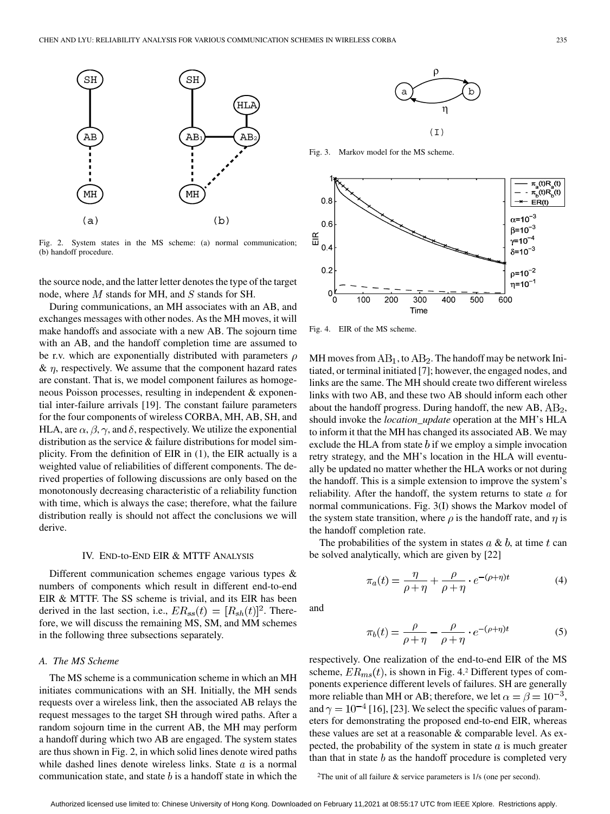

Fig. 2. System states in the MS scheme: (a) normal communication; (b) handoff procedure.

the source node, and the latter letter denotes the type of the target node, where  $M$  stands for MH, and  $S$  stands for SH.

During communications, an MH associates with an AB, and exchanges messages with other nodes. As the MH moves, it will make handoffs and associate with a new AB. The sojourn time with an AB, and the handoff completion time are assumed to be r.v. which are exponentially distributed with parameters  $\rho$  $\& \eta$ , respectively. We assume that the component hazard rates are constant. That is, we model component failures as homogeneous Poisson processes, resulting in independent & exponential inter-failure arrivals [\[19](#page-10-0)]. The constant failure parameters for the four components of wireless CORBA, MH, AB, SH, and HLA, are  $\alpha$ ,  $\beta$ ,  $\gamma$ , and  $\delta$ , respectively. We utilize the exponential distribution as the service & failure distributions for model simplicity. From the definition of EIR in (1), the EIR actually is a weighted value of reliabilities of different components. The derived properties of following discussions are only based on the monotonously decreasing characteristic of a reliability function with time, which is always the case; therefore, what the failure distribution really is should not affect the conclusions we will derive.

## IV. END-to-END EIR & MTTF ANALYSIS

Different communication schemes engage various types & numbers of components which result in different end-to-end EIR & MTTF. The SS scheme is trivial, and its EIR has been derived in the last section, i.e.,  $ER_{ss}(t) = [R_{sh}(t)]^2$ . Therefore, we will discuss the remaining MS, SM, and MM schemes in the following three subsections separately.

# *A. The MS Scheme*

The MS scheme is a communication scheme in which an MH initiates communications with an SH. Initially, the MH sends requests over a wireless link, then the associated AB relays the request messages to the target SH through wired paths. After a random sojourn time in the current AB, the MH may perform a handoff during which two AB are engaged. The system states are thus shown in Fig. 2, in which solid lines denote wired paths while dashed lines denote wireless links. State  $a$  is a normal communication state, and state  $b$  is a handoff state in which the



Fig. 3. Markov model for the MS scheme.



Fig. 4. EIR of the MS scheme.

MH moves from  $AB_1$ , to  $AB_2$ . The handoff may be network Initiated, or terminal initiated [[7\]](#page-10-0); however, the engaged nodes, and links are the same. The MH should create two different wireless links with two AB, and these two AB should inform each other about the handoff progress. During handoff, the new  $AB$ ,  $AB_2$ , should invoke the *location\_update* operation at the MH's HLA to inform it that the MH has changed its associated AB. We may exclude the HLA from state  $b$  if we employ a simple invocation retry strategy, and the MH's location in the HLA will eventually be updated no matter whether the HLA works or not during the handoff. This is a simple extension to improve the system's reliability. After the handoff, the system returns to state  $a$  for normal communications. Fig. 3(I) shows the Markov model of the system state transition, where  $\rho$  is the handoff rate, and  $\eta$  is the handoff completion rate.

The probabilities of the system in states  $a \& b$ , at time t can be solved analytically, which are given by [[22\]](#page-10-0)

$$
\pi_a(t) = \frac{\eta}{\rho + \eta} + \frac{\rho}{\rho + \eta} \cdot e^{-(\rho + \eta)t}
$$
 (4)

and

$$
\pi_b(t) = \frac{\rho}{\rho + \eta} - \frac{\rho}{\rho + \eta} \cdot e^{-(\rho + \eta)t}
$$
 (5)

respectively. One realization of the end-to-end EIR of the MS scheme,  $ER_{ms}(t)$ , is shown in Fig. 4.2 Different types of components experience different levels of failures. SH are generally more reliable than MH or AB; therefore, we let  $\alpha = \beta = 10^{-3}$ , and  $\gamma = 10^{-4}$  [\[16](#page-10-0)], [\[23](#page-10-0)]. We select the specific values of parameters for demonstrating the proposed end-to-end EIR, whereas these values are set at a reasonable & comparable level. As expected, the probability of the system in state  $a$  is much greater than that in state  $b$  as the handoff procedure is completed very

<sup>2</sup>The unit of all failure  $\&$  service parameters is 1/s (one per second).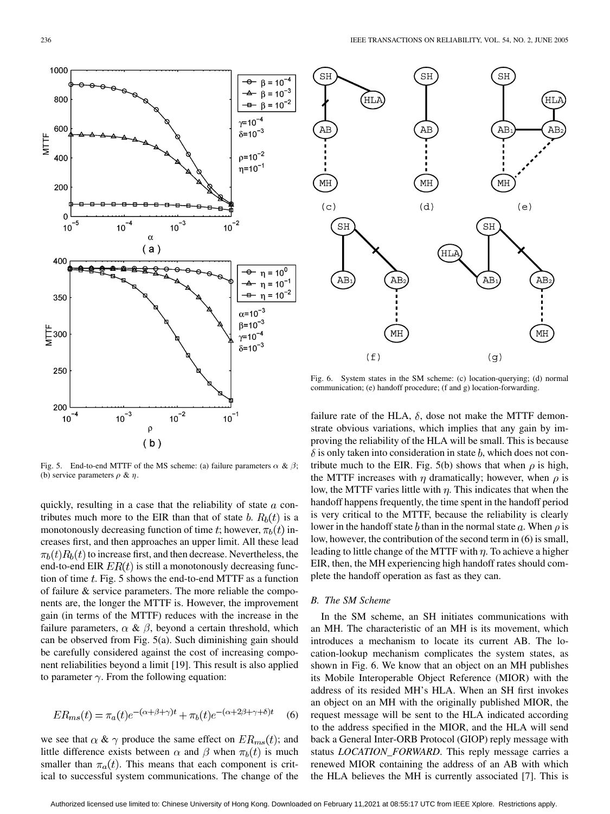Fig. 5. End-to-end MTTF of the MS scheme: (a) failure parameters  $\alpha \& \beta$ ; (b) service parameters  $\rho \& \eta$ .

 $(b)$ 

quickly, resulting in a case that the reliability of state  $a$  contributes much more to the EIR than that of state b.  $R_b(t)$  is a monotonously decreasing function of time t; however,  $\pi_b(t)$  increases first, and then approaches an upper limit. All these lead  $\pi_b(t)R_b(t)$  to increase first, and then decrease. Nevertheless, the end-to-end EIR  $ER(t)$  is still a monotonously decreasing function of time  $t$ . Fig. 5 shows the end-to-end MTTF as a function of failure & service parameters. The more reliable the components are, the longer the MTTF is. However, the improvement gain (in terms of the MTTF) reduces with the increase in the failure parameters,  $\alpha \& \beta$ , beyond a certain threshold, which can be observed from Fig. 5(a). Such diminishing gain should be carefully considered against the cost of increasing component reliabilities beyond a limit [\[19](#page-10-0)]. This result is also applied to parameter  $\gamma$ . From the following equation:

$$
ER_{ms}(t) = \pi_a(t)e^{-(\alpha+\beta+\gamma)t} + \pi_b(t)e^{-(\alpha+2\beta+\gamma+\delta)t}
$$
 (6)

we see that  $\alpha \& \gamma$  produce the same effect on  $ER_{ms}(t)$ ; and little difference exists between  $\alpha$  and  $\beta$  when  $\pi_b(t)$  is much smaller than  $\pi_a(t)$ . This means that each component is critical to successful system communications. The change of the

Fig. 6. System states in the SM scheme: (c) location-querying; (d) normal communication; (e) handoff procedure; (f and g) location-forwarding.

failure rate of the HLA,  $\delta$ , dose not make the MTTF demonstrate obvious variations, which implies that any gain by improving the reliability of the HLA will be small. This is because  $\delta$  is only taken into consideration in state b, which does not contribute much to the EIR. Fig. 5(b) shows that when  $\rho$  is high, the MTTF increases with  $\eta$  dramatically; however, when  $\rho$  is low, the MTTF varies little with  $\eta$ . This indicates that when the handoff happens frequently, the time spent in the handoff period is very critical to the MTTF, because the reliability is clearly lower in the handoff state b than in the normal state a. When  $\rho$  is low, however, the contribution of the second term in (6) is small, leading to little change of the MTTF with  $\eta$ . To achieve a higher EIR, then, the MH experiencing high handoff rates should complete the handoff operation as fast as they can.

# *B. The SM Scheme*

SH

In the SM scheme, an SH initiates communications with an MH. The characteristic of an MH is its movement, which introduces a mechanism to locate its current AB. The location-lookup mechanism complicates the system states, as shown in Fig. 6. We know that an object on an MH publishes its Mobile Interoperable Object Reference (MIOR) with the address of its resided MH's HLA. When an SH first invokes an object on an MH with the originally published MIOR, the request message will be sent to the HLA indicated according to the address specified in the MIOR, and the HLA will send back a General Inter-ORB Protocol (GIOP) reply message with status *LOCATION\_FORWARD*. This reply message carries a renewed MIOR containing the address of an AB with which the HLA believes the MH is currently associated [\[7](#page-10-0)]. This is



SH

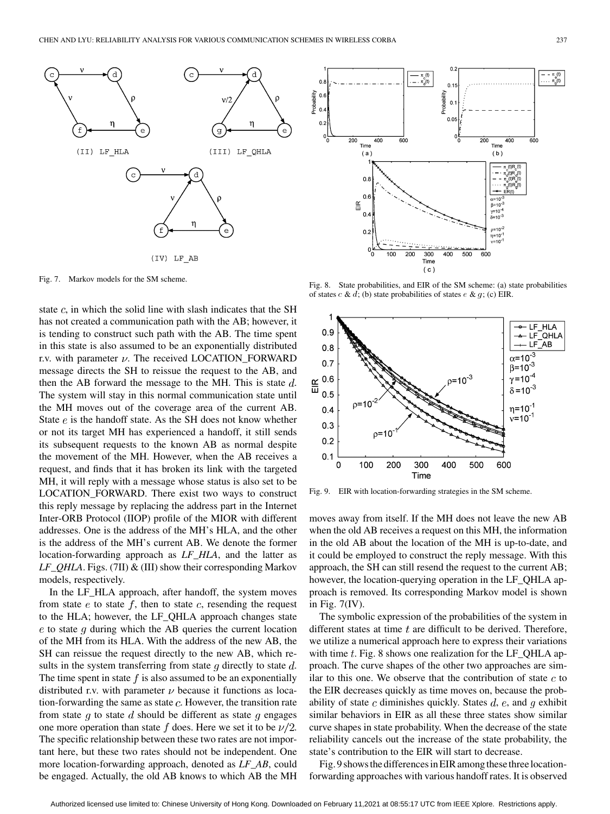

Fig. 7. Markov models for the SM scheme.

state  $c$ , in which the solid line with slash indicates that the SH has not created a communication path with the AB; however, it is tending to construct such path with the AB. The time spent in this state is also assumed to be an exponentially distributed r.v. with parameter  $\nu$ . The received LOCATION\_FORWARD message directs the SH to reissue the request to the AB, and then the AB forward the message to the MH. This is state  $d$ . The system will stay in this normal communication state until the MH moves out of the coverage area of the current AB. State  $e$  is the handoff state. As the SH does not know whether or not its target MH has experienced a handoff, it still sends its subsequent requests to the known AB as normal despite the movement of the MH. However, when the AB receives a request, and finds that it has broken its link with the targeted MH, it will reply with a message whose status is also set to be LOCATION\_FORWARD. There exist two ways to construct this reply message by replacing the address part in the Internet Inter-ORB Protocol (IIOP) profile of the MIOR with different addresses. One is the address of the MH's HLA, and the other is the address of the MH's current AB. We denote the former location-forwarding approach as *LF\_HLA*, and the latter as *LF\_QHLA*. Figs. (7II) & (III) show their corresponding Markov models, respectively.

In the LF\_HLA approach, after handoff, the system moves from state  $e$  to state  $f$ , then to state  $c$ , resending the request to the HLA; however, the LF\_QHLA approach changes state  $e$  to state q during which the AB queries the current location of the MH from its HLA. With the address of the new AB, the SH can reissue the request directly to the new AB, which results in the system transferring from state  $q$  directly to state  $d$ . The time spent in state  $f$  is also assumed to be an exponentially distributed r.v. with parameter  $\nu$  because it functions as location-forwarding the same as state  $c$ . However, the transition rate from state g to state d should be different as state g engages one more operation than state f does. Here we set it to be  $\nu/2$ . The specific relationship between these two rates are not important here, but these two rates should not be independent. One more location-forwarding approach, denoted as *LF\_AB*, could be engaged. Actually, the old AB knows to which AB the MH



Fig. 8. State probabilities, and EIR of the SM scheme: (a) state probabilities of states  $c \& d$ ; (b) state probabilities of states  $e \& g$ ; (c) EIR.



Fig. 9. EIR with location-forwarding strategies in the SM scheme.

moves away from itself. If the MH does not leave the new AB when the old AB receives a request on this MH, the information in the old AB about the location of the MH is up-to-date, and it could be employed to construct the reply message. With this approach, the SH can still resend the request to the current AB; however, the location-querying operation in the LF\_QHLA approach is removed. Its corresponding Markov model is shown in Fig. 7(IV).

The symbolic expression of the probabilities of the system in different states at time  $t$  are difficult to be derived. Therefore, we utilize a numerical approach here to express their variations with time  $t$ . Fig. 8 shows one realization for the LF QHLA approach. The curve shapes of the other two approaches are similar to this one. We observe that the contribution of state  $c$  to the EIR decreases quickly as time moves on, because the probability of state c diminishes quickly. States  $d$ ,  $e$ , and  $q$  exhibit similar behaviors in EIR as all these three states show similar curve shapes in state probability. When the decrease of the state reliability cancels out the increase of the state probability, the state's contribution to the EIR will start to decrease.

Fig. 9 showsthe differencesin EIR among these three locationforwarding approaches with various handoff rates. It is observed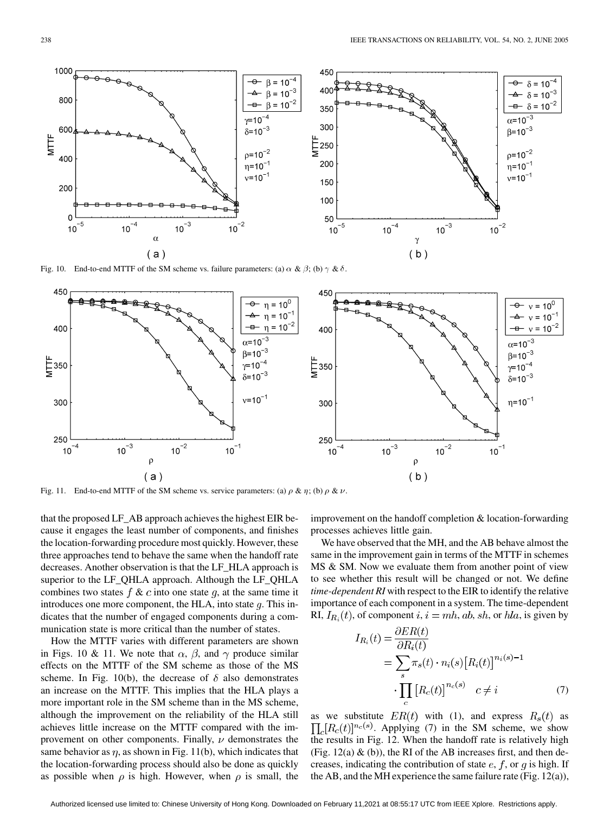

Fig. 10. End-to-end MTTF of the SM scheme vs. failure parameters: (a)  $\alpha \& \beta$ ; (b)  $\gamma \& \delta$ .



Fig. 11. End-to-end MTTF of the SM scheme vs. service parameters: (a)  $\rho \& \eta$ ; (b)  $\rho \& \nu$ .

that the proposed LF\_AB approach achieves the highest EIR because it engages the least number of components, and finishes the location-forwarding procedure most quickly. However, these three approaches tend to behave the same when the handoff rate decreases. Another observation is that the LF\_HLA approach is superior to the LF\_QHLA approach. Although the LF\_QHLA combines two states  $f \& c$  into one state  $g$ , at the same time it introduces one more component, the HLA, into state  $q$ . This indicates that the number of engaged components during a communication state is more critical than the number of states.

How the MTTF varies with different parameters are shown in Figs. 10 & 11. We note that  $\alpha$ ,  $\beta$ , and  $\gamma$  produce similar effects on the MTTF of the SM scheme as those of the MS scheme. In Fig. 10(b), the decrease of  $\delta$  also demonstrates an increase on the MTTF. This implies that the HLA plays a more important role in the SM scheme than in the MS scheme, although the improvement on the reliability of the HLA still achieves little increase on the MTTF compared with the improvement on other components. Finally,  $\nu$  demonstrates the same behavior as  $\eta$ , as shown in Fig. 11(b), which indicates that the location-forwarding process should also be done as quickly as possible when  $\rho$  is high. However, when  $\rho$  is small, the

improvement on the handoff completion & location-forwarding processes achieves little gain.

We have observed that the MH, and the AB behave almost the same in the improvement gain in terms of the MTTF in schemes MS & SM. Now we evaluate them from another point of view to see whether this result will be changed or not. We define *time-dependent RI* with respect to the EIR to identify the relative importance of each component in a system. The time-dependent RI,  $I_{R_i}(t)$ , of component  $i, i = mh, ab, sh$ , or  $hla$ , is given by

$$
I_{R_i}(t) = \frac{\partial ER(t)}{\partial R_i(t)}
$$
  
= 
$$
\sum_{s} \pi_s(t) \cdot n_i(s) [R_i(t)]^{n_i(s)-1}
$$
  

$$
\cdot \prod_{c} [R_c(t)]^{n_c(s)} \quad c \neq i
$$
 (7)

as we substitute  $ER(t)$  with (1), and express  $R_s(t)$  as  $\prod_{c} [R_c(t)]^{n_c(s)}$ . Applying (7) in the SM scheme, we show the results in Fig. 12. When the handoff rate is relatively high (Fig.  $12(a)$  & (b)), the RI of the AB increases first, and then decreases, indicating the contribution of state  $e$ ,  $f$ , or  $q$  is high. If the AB, and the MH experience the same failure rate (Fig.  $12(a)$ ),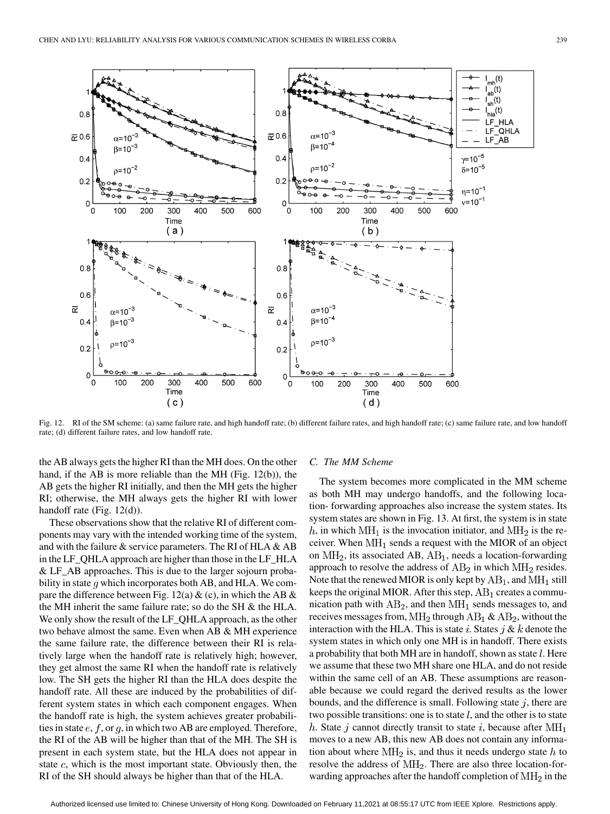

Fig. 12. RI of the SM scheme: (a) same failure rate, and high handoff rate; (b) different failure rates, and high handoff rate; (c) same failure rate, and low handoff rate; (d) different failure rates, and low handoff rate.

the AB always gets the higher RI than the MH does. On the other hand, if the AB is more reliable than the MH (Fig. 12(b)), the AB gets the higher RI initially, and then the MH gets the higher RI; otherwise, the MH always gets the higher RI with lower handoff rate (Fig. 12(d)).

These observations show that the relative RI of different components may vary with the intended working time of the system, and with the failure  $\&$  service parameters. The RI of HLA  $\&$  AB in the LF\_QHLA approach are higher than those in the LF\_HLA & LF\_AB approaches. This is due to the larger sojourn probability in state  $q$  which incorporates both AB, and HLA. We compare the difference between Fig. 12(a)  $\&$  (c), in which the AB  $\&$ the MH inherit the same failure rate; so do the SH & the HLA. We only show the result of the LF\_QHLA approach, as the other two behave almost the same. Even when AB & MH experience the same failure rate, the difference between their RI is relatively large when the handoff rate is relatively high; however, they get almost the same RI when the handoff rate is relatively low. The SH gets the higher RI than the HLA does despite the handoff rate. All these are induced by the probabilities of different system states in which each component engages. When the handoff rate is high, the system achieves greater probabilities in state  $e, f, \text{or } g$ , in which two AB are employed. Therefore, the RI of the AB will be higher than that of the MH. The SH is present in each system state, but the HLA does not appear in state  $c$ , which is the most important state. Obviously then, the RI of the SH should always be higher than that of the HLA.

## *C. The MM Scheme*

The system becomes more complicated in the MM scheme as both MH may undergo handoffs, and the following location- forwarding approaches also increase the system states. Its system states are shown in Fig. 13. At first, the system is in state h, in which  $\text{MH}_1$  is the invocation initiator, and  $\text{MH}_2$  is the receiver. When  $\text{MH}_1$  sends a request with the MIOR of an object on  $\text{MH}_2$ , its associated AB,  $\text{AB}_1$ , needs a location-forwarding approach to resolve the address of  $AB_2$  in which  $MH_2$  resides. Note that the renewed MIOR is only kept by  $AB_1$ , and  $MH_1$  still keeps the original MIOR. After this step,  $AB_1$  creates a communication path with  $AB_2$ , and then  $MH_1$  sends messages to, and receives messages from,  $\text{MH}_2$  through  $\text{AB}_1 \& \text{AB}_2$ , without the interaction with the HLA. This is state i. States  $j \& k$  denote the system states in which only one MH is in handoff. There exists a probability that both MH are in handoff, shown as state  $l$ . Here we assume that these two MH share one HLA, and do not reside within the same cell of an AB. These assumptions are reasonable because we could regard the derived results as the lower bounds, and the difference is small. Following state  $j$ , there are two possible transitions: one is to state  $l$ , and the other is to state h. State j cannot directly transit to state i, because after  $\text{MH}_1$ moves to a new AB, this new AB does not contain any information about where  $\text{MH}_2$  is, and thus it needs undergo state h to resolve the address of  $\text{MH}_2$ . There are also three location-forwarding approaches after the handoff completion of  $\text{MH}_2$  in the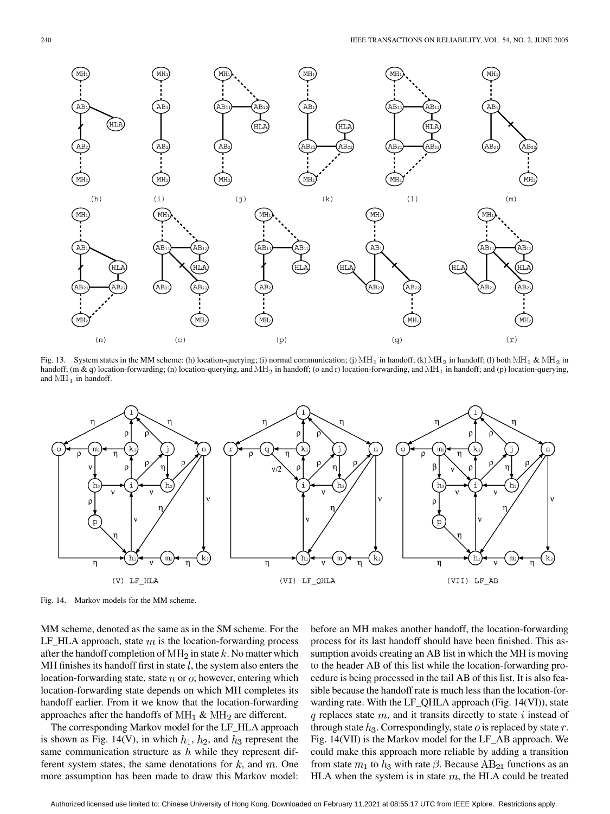

Fig. 13. System states in the MM scheme: (h) location-querying; (i) normal communication; (j) MH<sub>1</sub> in handoff; (k) MH<sub>2</sub> in handoff; (l) both MH<sub>1</sub> & MH<sub>2</sub> in handoff; (m & q) location-forwarding; (n) location-querying, and  $MH_2$  in handoff; (o and r) location-forwarding, and  $MH_1$  in handoff; and (p) location-querying, and  $MH<sub>1</sub>$  in handoff.



Fig. 14. Markov models for the MM scheme.

MM scheme, denoted as the same as in the SM scheme. For the LF\_HLA approach, state  $m$  is the location-forwarding process after the handoff completion of  $\text{MH}_2$  in state k. No matter which MH finishes its handoff first in state  $l$ , the system also enters the location-forwarding state, state  $n$  or  $o$ ; however, entering which location-forwarding state depends on which MH completes its handoff earlier. From it we know that the location-forwarding approaches after the handoffs of  $\text{MH}_1$  &  $\text{MH}_2$  are different.

The corresponding Markov model for the LF\_HLA approach is shown as Fig. 14(V), in which  $h_1$ ,  $h_2$ , and  $h_3$  represent the same communication structure as  $h$  while they represent different system states, the same denotations for  $k$ , and  $m$ . One more assumption has been made to draw this Markov model: before an MH makes another handoff, the location-forwarding process for its last handoff should have been finished. This assumption avoids creating an AB list in which the MH is moving to the header AB of this list while the location-forwarding procedure is being processed in the tail AB of this list. It is also feasible because the handoff rate is much less than the location-forwarding rate. With the LF\_QHLA approach (Fig. 14(VI)), state  $q$  replaces state  $m$ , and it transits directly to state i instead of through state  $h_3$ . Correspondingly, state  $o$  is replaced by state  $r$ . Fig. 14(VII) is the Markov model for the LF\_AB approach. We could make this approach more reliable by adding a transition from state  $m_1$  to  $h_3$  with rate  $\beta$ . Because AB<sub>21</sub> functions as an HLA when the system is in state  $m$ , the HLA could be treated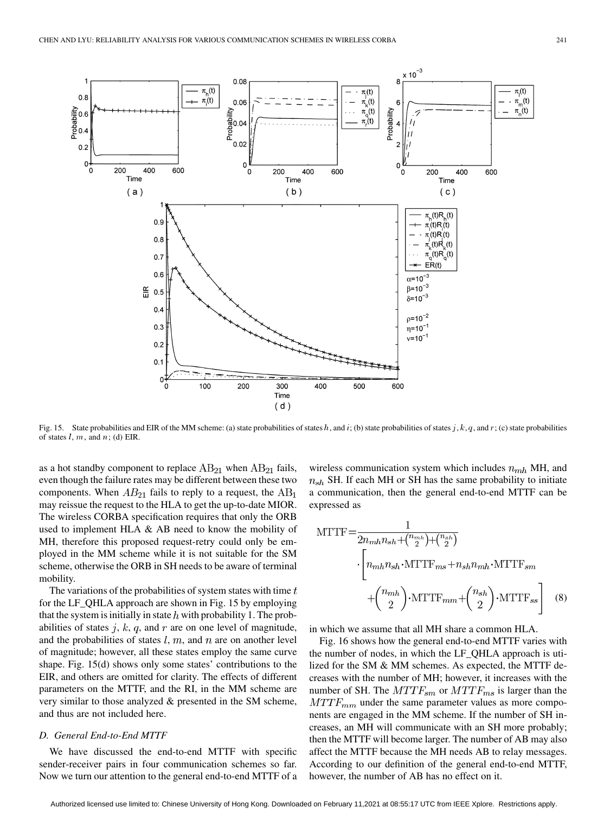

Fig. 15. State probabilities and EIR of the MM scheme: (a) state probabilities of states h, and i; (b) state probabilities of states j, k, q, and r; (c) state probabilities of states  $l, m$ , and  $n$ ; (d) EIR.

as a hot standby component to replace  $AB_{21}$  when  $AB_{21}$  fails, even though the failure rates may be different between these two components. When  $AB_{21}$  fails to reply to a request, the  $AB_1$ may reissue the request to the HLA to get the up-to-date MIOR. The wireless CORBA specification requires that only the ORB used to implement HLA & AB need to know the mobility of MH, therefore this proposed request-retry could only be employed in the MM scheme while it is not suitable for the SM scheme, otherwise the ORB in SH needs to be aware of terminal mobility.

The variations of the probabilities of system states with time  $t$ for the LF\_QHLA approach are shown in Fig. 15 by employing that the system is initially in state  $h$  with probability 1. The probabilities of states  $j, k, q$ , and  $r$  are on one level of magnitude, and the probabilities of states  $l, m$ , and  $n$  are on another level of magnitude; however, all these states employ the same curve shape. Fig. 15(d) shows only some states' contributions to the EIR, and others are omitted for clarity. The effects of different parameters on the MTTF, and the RI, in the MM scheme are very similar to those analyzed & presented in the SM scheme, and thus are not included here.

# *D. General End-to-End MTTF*

We have discussed the end-to-end MTTF with specific sender-receiver pairs in four communication schemes so far. Now we turn our attention to the general end-to-end MTTF of a wireless communication system which includes  $n_{mh}$  MH, and  $n_{sh}$  SH. If each MH or SH has the same probability to initiate a communication, then the general end-to-end MTTF can be expressed as

$$
MTTF = \frac{1}{2n_{mh}n_{sh} + {n_{mh} \choose 2} + {n_{sh} \choose 2}}
$$

$$
\cdot \left[n_{mh}n_{sh} \cdot MTTF_{ms} + n_{sh}n_{mh} \cdot MTTF_{sm} + {n_{mh} \choose 2} \cdot MTTF_{mm} + {n_{sh} \choose 2} \cdot MTTF_{ss}\right]
$$
(8)

in which we assume that all MH share a common HLA.

Fig. 16 shows how the general end-to-end MTTF varies with the number of nodes, in which the LF\_QHLA approach is utilized for the SM & MM schemes. As expected, the MTTF decreases with the number of MH; however, it increases with the number of SH. The  $MTTF_{sm}$  or  $MTTF_{ms}$  is larger than the  $MTTF_{mm}$  under the same parameter values as more components are engaged in the MM scheme. If the number of SH increases, an MH will communicate with an SH more probably; then the MTTF will become larger. The number of AB may also affect the MTTF because the MH needs AB to relay messages. According to our definition of the general end-to-end MTTF, however, the number of AB has no effect on it.